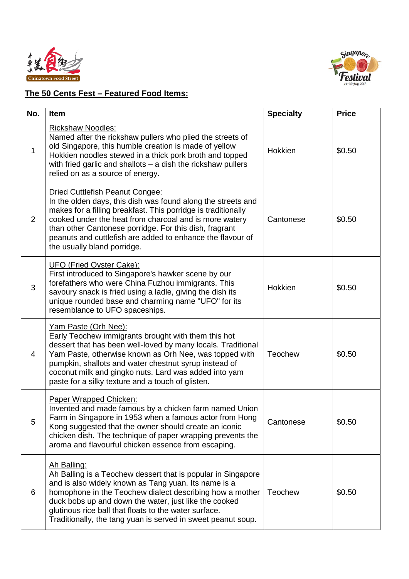



## **The 50 Cents Fest – Featured Food Items:**

| No.         | Item                                                                                                                                                                                                                                                                                                                                                                              | <b>Specialty</b> | <b>Price</b> |
|-------------|-----------------------------------------------------------------------------------------------------------------------------------------------------------------------------------------------------------------------------------------------------------------------------------------------------------------------------------------------------------------------------------|------------------|--------------|
| $\mathbf 1$ | <b>Rickshaw Noodles:</b><br>Named after the rickshaw pullers who plied the streets of<br>old Singapore, this humble creation is made of yellow<br>Hokkien noodles stewed in a thick pork broth and topped<br>with fried garlic and shallots $-$ a dish the rickshaw pullers<br>relied on as a source of energy.                                                                   | <b>Hokkien</b>   | \$0.50       |
| 2           | Dried Cuttlefish Peanut Congee:<br>In the olden days, this dish was found along the streets and<br>makes for a filling breakfast. This porridge is traditionally<br>cooked under the heat from charcoal and is more watery<br>than other Cantonese porridge. For this dish, fragrant<br>peanuts and cuttlefish are added to enhance the flavour of<br>the usually bland porridge. | Cantonese        | \$0.50       |
| 3           | <b>UFO (Fried Oyster Cake):</b><br>First introduced to Singapore's hawker scene by our<br>forefathers who were China Fuzhou immigrants. This<br>savoury snack is fried using a ladle, giving the dish its<br>unique rounded base and charming name "UFO" for its<br>resemblance to UFO spaceships.                                                                                | <b>Hokkien</b>   | \$0.50       |
| 4           | Yam Paste (Orh Nee):<br>Early Teochew immigrants brought with them this hot<br>dessert that has been well-loved by many locals. Traditional<br>Yam Paste, otherwise known as Orh Nee, was topped with<br>pumpkin, shallots and water chestnut syrup instead of<br>coconut milk and gingko nuts. Lard was added into yam<br>paste for a silky texture and a touch of glisten.      | <b>Teochew</b>   | \$0.50       |
| 5           | Paper Wrapped Chicken:<br>Invented and made famous by a chicken farm named Union<br>Farm in Singapore in 1953 when a famous actor from Hong<br>Kong suggested that the owner should create an iconic<br>chicken dish. The technique of paper wrapping prevents the<br>aroma and flavourful chicken essence from escaping.                                                         | Cantonese        | \$0.50       |
| 6           | Ah Balling:<br>Ah Balling is a Teochew dessert that is popular in Singapore<br>and is also widely known as Tang yuan. Its name is a<br>homophone in the Teochew dialect describing how a mother<br>duck bobs up and down the water, just like the cooked<br>glutinous rice ball that floats to the water surface.<br>Traditionally, the tang yuan is served in sweet peanut soup. | <b>Teochew</b>   | \$0.50       |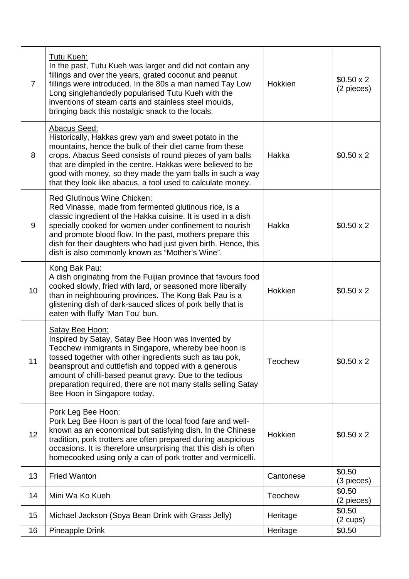| $\overline{7}$ | Tutu Kueh:<br>In the past, Tutu Kueh was larger and did not contain any<br>fillings and over the years, grated coconut and peanut<br>fillings were introduced. In the 80s a man named Tay Low<br>Long singlehandedly popularised Tutu Kueh with the<br>inventions of steam carts and stainless steel moulds,<br>bringing back this nostalgic snack to the locals.                                           | Hokkien        | $$0.50 \times 2$$<br>(2 pieces) |
|----------------|-------------------------------------------------------------------------------------------------------------------------------------------------------------------------------------------------------------------------------------------------------------------------------------------------------------------------------------------------------------------------------------------------------------|----------------|---------------------------------|
| 8              | Abacus Seed:<br>Historically, Hakkas grew yam and sweet potato in the<br>mountains, hence the bulk of their diet came from these<br>crops. Abacus Seed consists of round pieces of yam balls<br>that are dimpled in the centre. Hakkas were believed to be<br>good with money, so they made the yam balls in such a way<br>that they look like abacus, a tool used to calculate money.                      | Hakka          | $$0.50 \times 2$$               |
| 9              | <b>Red Glutinous Wine Chicken:</b><br>Red Vinasse, made from fermented glutinous rice, is a<br>classic ingredient of the Hakka cuisine. It is used in a dish<br>specially cooked for women under confinement to nourish<br>and promote blood flow. In the past, mothers prepare this<br>dish for their daughters who had just given birth. Hence, this<br>dish is also commonly known as "Mother's Wine".   | Hakka          | $$0.50 \times 2$$               |
| 10             | Kong Bak Pau:<br>A dish originating from the Fuijian province that favours food<br>cooked slowly, fried with lard, or seasoned more liberally<br>than in neighbouring provinces. The Kong Bak Pau is a<br>glistening dish of dark-sauced slices of pork belly that is<br>eaten with fluffy 'Man Tou' bun.                                                                                                   | Hokkien        | $$0.50 \times 2$$               |
| 11             | Satay Bee Hoon:<br>Inspired by Satay, Satay Bee Hoon was invented by<br>Teochew immigrants in Singapore, whereby bee hoon is<br>tossed together with other ingredients such as tau pok,<br>beansprout and cuttlefish and topped with a generous<br>amount of chilli-based peanut gravy. Due to the tedious<br>preparation required, there are not many stalls selling Satay<br>Bee Hoon in Singapore today. | <b>Teochew</b> | $$0.50 \times 2$$               |
| 12             | Pork Leg Bee Hoon:<br>Pork Leg Bee Hoon is part of the local food fare and well-<br>known as an economical but satisfying dish. In the Chinese<br>tradition, pork trotters are often prepared during auspicious<br>occasions. It is therefore unsurprising that this dish is often<br>homecooked using only a can of pork trotter and vermicelli.                                                           | Hokkien        | $$0.50 \times 2$$               |
| 13             | <b>Fried Wanton</b>                                                                                                                                                                                                                                                                                                                                                                                         | Cantonese      | \$0.50<br>(3 pieces)            |
| 14             | Mini Wa Ko Kueh                                                                                                                                                                                                                                                                                                                                                                                             | <b>Teochew</b> | \$0.50<br>(2 pieces)            |
| 15             | Michael Jackson (Soya Bean Drink with Grass Jelly)                                                                                                                                                                                                                                                                                                                                                          | Heritage       | \$0.50<br>$(2 \text{ cups})$    |
| 16             | <b>Pineapple Drink</b>                                                                                                                                                                                                                                                                                                                                                                                      | Heritage       | \$0.50                          |